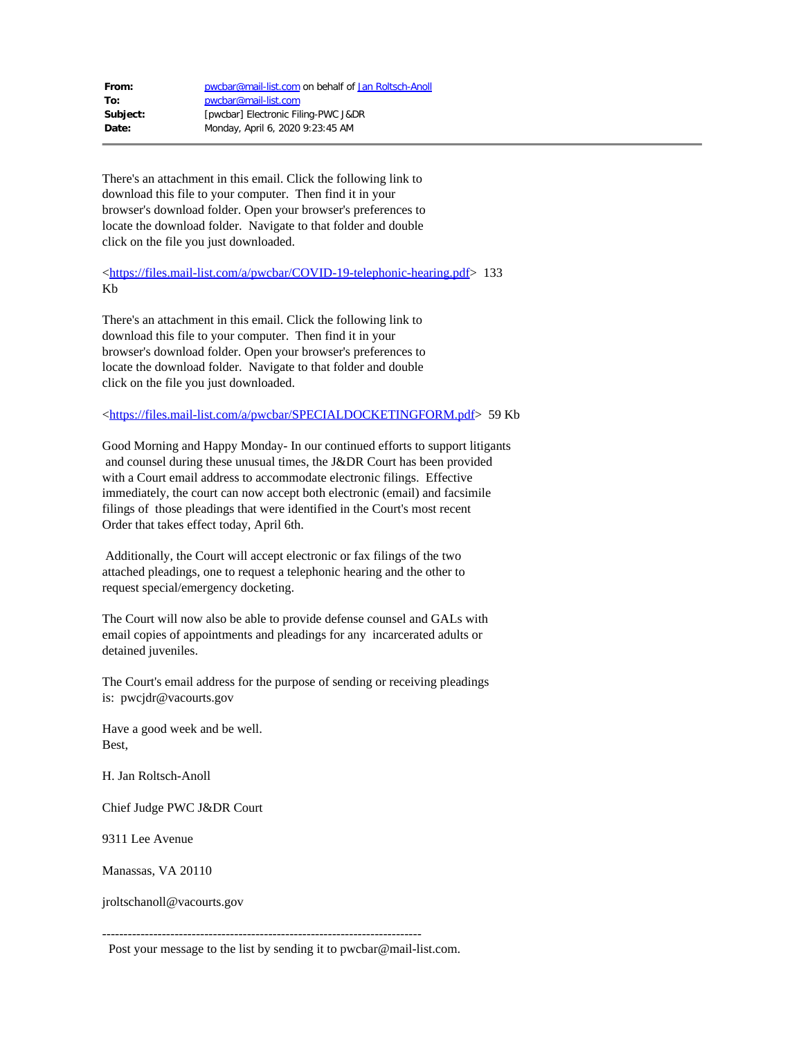| From:    | pwcbar@mail-list.com on behalf of Jan Roltsch-Anoll |
|----------|-----------------------------------------------------|
| To:      | pwcbar@mail-list.com                                |
| Subject: | [pwcbar] Electronic Filing-PWC J&DR                 |
| Date:    | Monday, April 6, 2020 9:23:45 AM                    |

There's an attachment in this email. Click the following link to download this file to your computer. Then find it in your browser's download folder. Open your browser's preferences to locate the download folder. Navigate to that folder and double click on the file you just downloaded.

[<https://files.mail-list.com/a/pwcbar/COVID-19-telephonic-hearing.pdf](https://files.mail-list.com/a/pwcbar/COVID-19-telephonic-hearing.pdf)> 133 Kb

There's an attachment in this email. Click the following link to download this file to your computer. Then find it in your browser's download folder. Open your browser's preferences to locate the download folder. Navigate to that folder and double click on the file you just downloaded.

## [<https://files.mail-list.com/a/pwcbar/SPECIALDOCKETINGFORM.pdf](https://files.mail-list.com/a/pwcbar/SPECIALDOCKETINGFORM.pdf)> 59 Kb

Good Morning and Happy Monday- In our continued efforts to support litigants and counsel during these unusual times, the J&DR Court has been provided with a Court email address to accommodate electronic filings. Effective immediately, the court can now accept both electronic (email) and facsimile filings of those pleadings that were identified in the Court's most recent Order that takes effect today, April 6th.

Additionally, the Court will accept electronic or fax filings of the two attached pleadings, one to request a telephonic hearing and the other to request special/emergency docketing.

The Court will now also be able to provide defense counsel and GALs with email copies of appointments and pleadings for any incarcerated adults or detained juveniles.

The Court's email address for the purpose of sending or receiving pleadings is: pwcjdr@vacourts.gov

Have a good week and be well. Best,

H. Jan Roltsch-Anoll

Chief Judge PWC J&DR Court

9311 Lee Avenue

Manassas, VA 20110

jroltschanoll@vacourts.gov

Post your message to the list by sending it to pwcbar@mail-list.com.

---------------------------------------------------------------------------